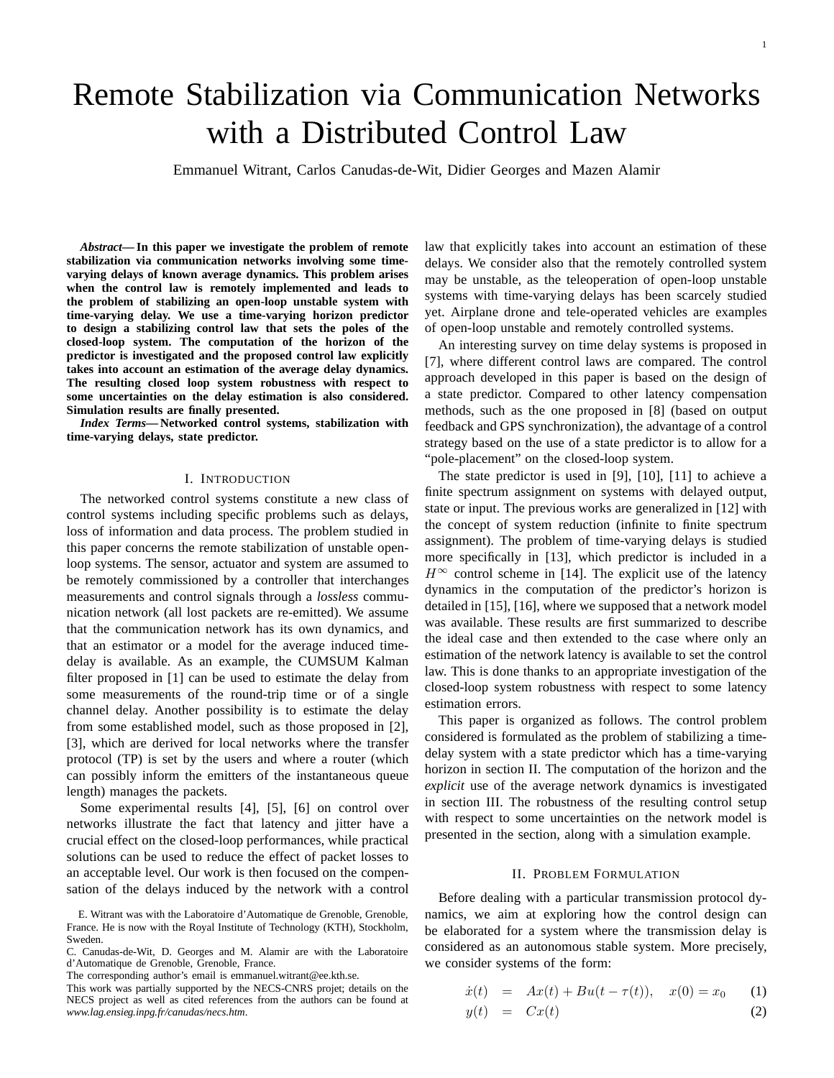# Remote Stabilization via Communication Networks with a Distributed Control Law

Emmanuel Witrant, Carlos Canudas-de-Wit, Didier Georges and Mazen Alamir

*Abstract***— In this paper we investigate the problem of remote stabilization via communication networks involving some timevarying delays of known average dynamics. This problem arises when the control law is remotely implemented and leads to the problem of stabilizing an open-loop unstable system with time-varying delay. We use a time-varying horizon predictor to design a stabilizing control law that sets the poles of the closed-loop system. The computation of the horizon of the predictor is investigated and the proposed control law explicitly takes into account an estimation of the average delay dynamics. The resulting closed loop system robustness with respect to some uncertainties on the delay estimation is also considered. Simulation results are finally presented.**

*Index Terms***— Networked control systems, stabilization with time-varying delays, state predictor.**

### I. INTRODUCTION

The networked control systems constitute a new class of control systems including specific problems such as delays, loss of information and data process. The problem studied in this paper concerns the remote stabilization of unstable openloop systems. The sensor, actuator and system are assumed to be remotely commissioned by a controller that interchanges measurements and control signals through a *lossless* communication network (all lost packets are re-emitted). We assume that the communication network has its own dynamics, and that an estimator or a model for the average induced timedelay is available. As an example, the CUMSUM Kalman filter proposed in [1] can be used to estimate the delay from some measurements of the round-trip time or of a single channel delay. Another possibility is to estimate the delay from some established model, such as those proposed in [2], [3], which are derived for local networks where the transfer protocol (TP) is set by the users and where a router (which can possibly inform the emitters of the instantaneous queue length) manages the packets.

Some experimental results [4], [5], [6] on control over networks illustrate the fact that latency and jitter have a crucial effect on the closed-loop performances, while practical solutions can be used to reduce the effect of packet losses to an acceptable level. Our work is then focused on the compensation of the delays induced by the network with a control

The corresponding author's email is emmanuel.witrant@ee.kth.se.

law that explicitly takes into account an estimation of these delays. We consider also that the remotely controlled system may be unstable, as the teleoperation of open-loop unstable systems with time-varying delays has been scarcely studied yet. Airplane drone and tele-operated vehicles are examples of open-loop unstable and remotely controlled systems.

An interesting survey on time delay systems is proposed in [7], where different control laws are compared. The control approach developed in this paper is based on the design of a state predictor. Compared to other latency compensation methods, such as the one proposed in [8] (based on output feedback and GPS synchronization), the advantage of a control strategy based on the use of a state predictor is to allow for a "pole-placement" on the closed-loop system.

The state predictor is used in [9], [10], [11] to achieve a finite spectrum assignment on systems with delayed output, state or input. The previous works are generalized in [12] with the concept of system reduction (infinite to finite spectrum assignment). The problem of time-varying delays is studied more specifically in [13], which predictor is included in a  $H^{\infty}$  control scheme in [14]. The explicit use of the latency dynamics in the computation of the predictor's horizon is detailed in [15], [16], where we supposed that a network model was available. These results are first summarized to describe the ideal case and then extended to the case where only an estimation of the network latency is available to set the control law. This is done thanks to an appropriate investigation of the closed-loop system robustness with respect to some latency estimation errors.

This paper is organized as follows. The control problem considered is formulated as the problem of stabilizing a timedelay system with a state predictor which has a time-varying horizon in section II. The computation of the horizon and the *explicit* use of the average network dynamics is investigated in section III. The robustness of the resulting control setup with respect to some uncertainties on the network model is presented in the section, along with a simulation example.

## II. PROBLEM FORMULATION

Before dealing with a particular transmission protocol dynamics, we aim at exploring how the control design can be elaborated for a system where the transmission delay is considered as an autonomous stable system. More precisely, we consider systems of the form:

$$
\dot{x}(t) = Ax(t) + Bu(t - \tau(t)), \quad x(0) = x_0 \tag{1}
$$

$$
y(t) = Cx(t) \tag{2}
$$

E. Witrant was with the Laboratoire d'Automatique de Grenoble, Grenoble, France. He is now with the Royal Institute of Technology (KTH), Stockholm, Sweden.

C. Canudas-de-Wit, D. Georges and M. Alamir are with the Laboratoire d'Automatique de Grenoble, Grenoble, France.

This work was partially supported by the NECS-CNRS projet; details on the NECS project as well as cited references from the authors can be found at *www.lag.ensieg.inpg.fr/canudas/necs.htm*.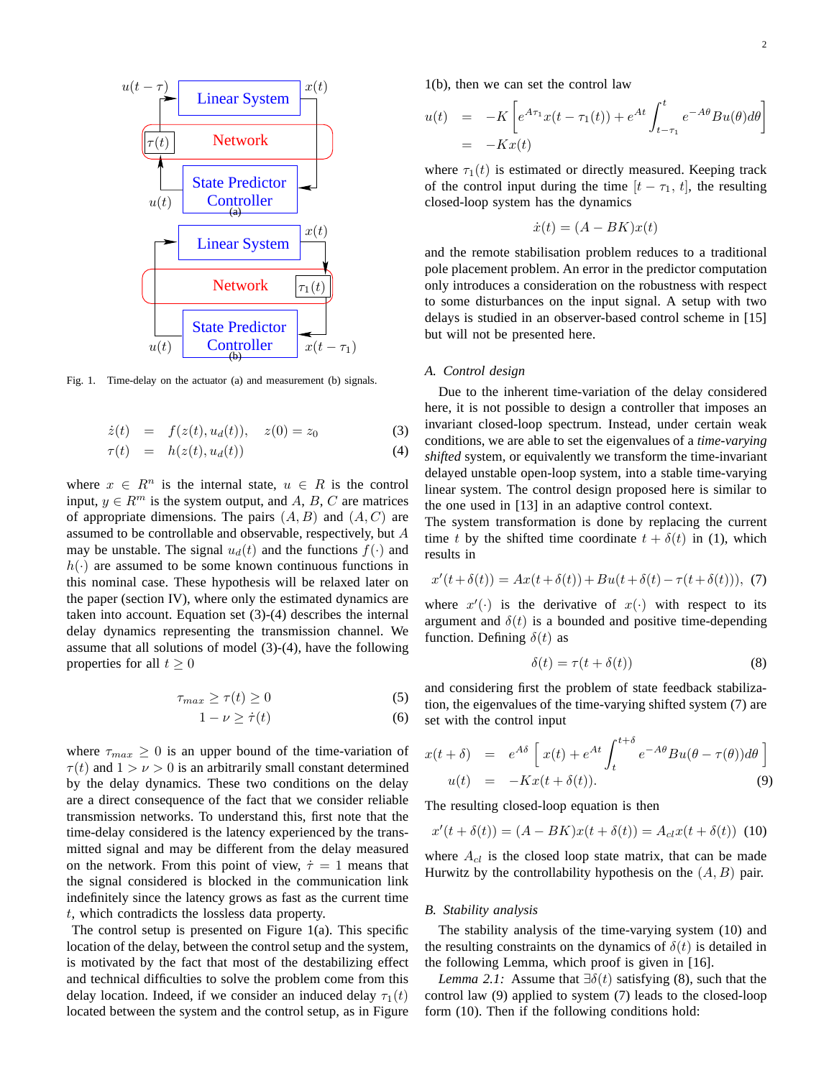

Fig. 1. Time-delay on the actuator (a) and measurement (b) signals.

$$
\dot{z}(t) = f(z(t), u_d(t)), \quad z(0) = z_0 \tag{3}
$$

$$
\tau(t) = h(z(t), u_d(t)) \tag{4}
$$

where  $x \in R^n$  is the internal state,  $u \in R$  is the control input,  $y \in R^m$  is the system output, and A, B, C are matrices of appropriate dimensions. The pairs  $(A, B)$  and  $(A, C)$  are assumed to be controllable and observable, respectively, but A may be unstable. The signal  $u_d(t)$  and the functions  $f(\cdot)$  and  $h(\cdot)$  are assumed to be some known continuous functions in this nominal case. These hypothesis will be relaxed later on the paper (section IV), where only the estimated dynamics are taken into account. Equation set (3)-(4) describes the internal delay dynamics representing the transmission channel. We assume that all solutions of model (3)-(4), have the following properties for all  $t \geq 0$ 

$$
\tau_{max} \ge \tau(t) \ge 0 \tag{5}
$$

$$
1 - \nu \geq \dot{\tau}(t) \tag{6}
$$

where  $\tau_{max} \geq 0$  is an upper bound of the time-variation of  $\tau(t)$  and  $1 > \nu > 0$  is an arbitrarily small constant determined by the delay dynamics. These two conditions on the delay are a direct consequence of the fact that we consider reliable transmission networks. To understand this, first note that the time-delay considered is the latency experienced by the transmitted signal and may be different from the delay measured on the network. From this point of view,  $\dot{\tau} = 1$  means that the signal considered is blocked in the communication link indefinitely since the latency grows as fast as the current time t, which contradicts the lossless data property.

The control setup is presented on Figure 1(a). This specific location of the delay, between the control setup and the system, is motivated by the fact that most of the destabilizing effect and technical difficulties to solve the problem come from this delay location. Indeed, if we consider an induced delay  $\tau_1(t)$ located between the system and the control setup, as in Figure 1(b), then we can set the control law

$$
u(t) = -K \left[ e^{A\tau_1} x(t - \tau_1(t)) + e^{At} \int_{t-\tau_1}^t e^{-A\theta} Bu(\theta) d\theta \right]
$$
  
= -Kx(t)

where  $\tau_1(t)$  is estimated or directly measured. Keeping track of the control input during the time  $[t - \tau_1, t]$ , the resulting closed-loop system has the dynamics

$$
\dot{x}(t) = (A - BK)x(t)
$$

and the remote stabilisation problem reduces to a traditional pole placement problem. An error in the predictor computation only introduces a consideration on the robustness with respect to some disturbances on the input signal. A setup with two delays is studied in an observer-based control scheme in [15] but will not be presented here.

#### *A. Control design*

Due to the inherent time-variation of the delay considered here, it is not possible to design a controller that imposes an invariant closed-loop spectrum. Instead, under certain weak conditions, we are able to set the eigenvalues of a *time-varying shifted* system, or equivalently we transform the time-invariant delayed unstable open-loop system, into a stable time-varying linear system. The control design proposed here is similar to the one used in [13] in an adaptive control context.

The system transformation is done by replacing the current time t by the shifted time coordinate  $t + \delta(t)$  in (1), which results in

$$
x'(t+\delta(t))=Ax(t+\delta(t))+Bu(t+\delta(t)-\tau(t+\delta(t))),\,\,(7)
$$

where  $x'(\cdot)$  is the derivative of  $x(\cdot)$  with respect to its argument and  $\delta(t)$  is a bounded and positive time-depending function. Defining  $\delta(t)$  as

$$
\delta(t) = \tau(t + \delta(t))\tag{8}
$$

and considering first the problem of state feedback stabilization, the eigenvalues of the time-varying shifted system (7) are set with the control input

$$
x(t + \delta) = e^{A\delta} \left[ x(t) + e^{At} \int_{t}^{t+\delta} e^{-A\theta} Bu(\theta - \tau(\theta)) d\theta \right]
$$
  
 
$$
u(t) = -Kx(t + \delta(t)).
$$
 (9)

The resulting closed-loop equation is then

$$
x'(t + \delta(t)) = (A - BK)x(t + \delta(t)) = A_{cl}x(t + \delta(t))
$$
 (10)

where  $A_{cl}$  is the closed loop state matrix, that can be made Hurwitz by the controllability hypothesis on the  $(A, B)$  pair.

#### *B. Stability analysis*

The stability analysis of the time-varying system (10) and the resulting constraints on the dynamics of  $\delta(t)$  is detailed in the following Lemma, which proof is given in [16].

*Lemma 2.1:* Assume that  $\exists \delta(t)$  satisfying (8), such that the control law (9) applied to system (7) leads to the closed-loop form (10). Then if the following conditions hold: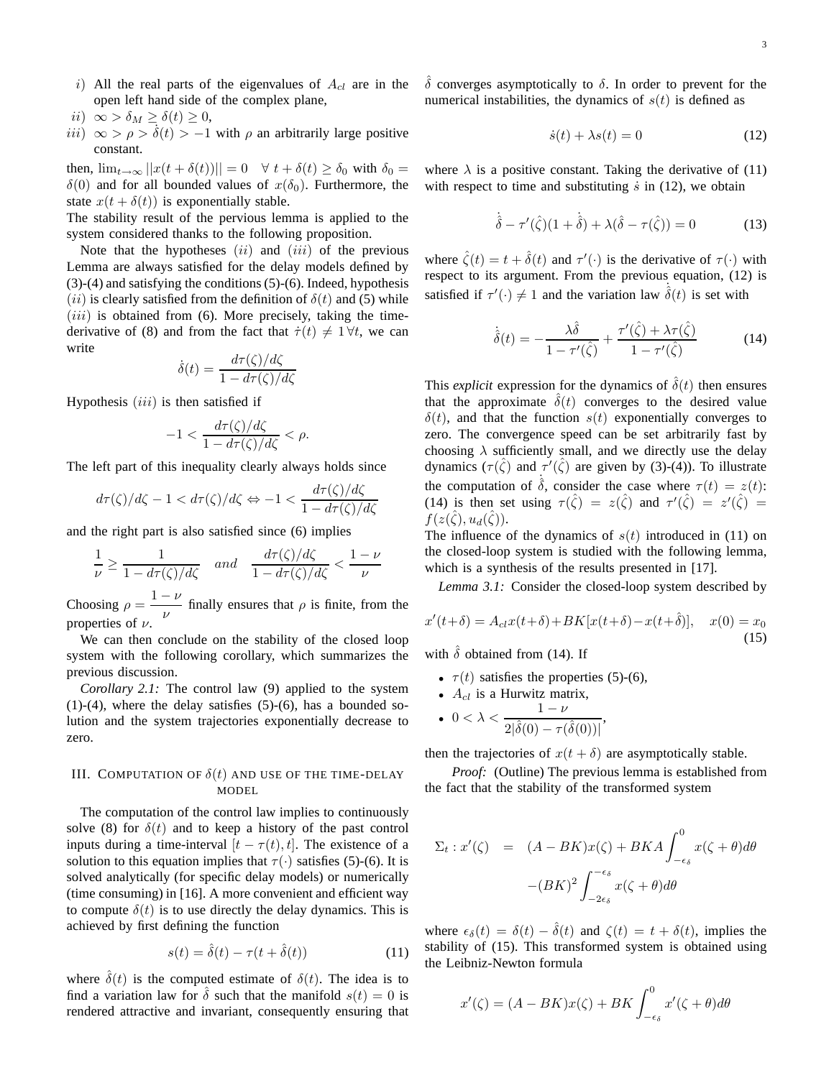- i) All the real parts of the eigenvalues of  $A_{cl}$  are in the open left hand side of the complex plane,
- ii)  $\infty > \delta_M \ge \delta(t) \ge 0$ ,
- iii)  $\infty > \rho > \delta(t) > -1$  with  $\rho$  an arbitrarily large positive constant.

then,  $\lim_{t\to\infty}||x(t+\delta(t))||=0 \quad \forall \ t+\delta(t)\geq \delta_0$  with  $\delta_0=$  $\delta(0)$  and for all bounded values of  $x(\delta_0)$ . Furthermore, the state  $x(t + \delta(t))$  is exponentially stable.

The stability result of the pervious lemma is applied to the system considered thanks to the following proposition.

Note that the hypotheses  $(ii)$  and  $(iii)$  of the previous Lemma are always satisfied for the delay models defined by (3)-(4) and satisfying the conditions (5)-(6). Indeed, hypothesis  $(ii)$  is clearly satisfied from the definition of  $\delta(t)$  and (5) while  $(iii)$  is obtained from (6). More precisely, taking the timederivative of (8) and from the fact that  $\dot{\tau}(t) \neq 1 \forall t$ , we can write

$$
\dot{\delta}(t) = \frac{d\tau(\zeta)/d\zeta}{1 - d\tau(\zeta)/d\zeta}
$$

Hypothesis  $(iii)$  is then satisfied if

$$
-1 < \frac{d\tau(\zeta)/d\zeta}{1 - d\tau(\zeta)/d\zeta} < \rho.
$$

The left part of this inequality clearly always holds since

$$
d\tau(\zeta)/d\zeta - 1 < d\tau(\zeta)/d\zeta \Leftrightarrow -1 < \frac{d\tau(\zeta)/d\zeta}{1 - d\tau(\zeta)/d\zeta}
$$

and the right part is also satisfied since (6) implies

$$
\frac{1}{\nu} \ge \frac{1}{1 - d\tau(\zeta)/d\zeta} \quad \text{and} \quad \frac{d\tau(\zeta)/d\zeta}{1 - d\tau(\zeta)/d\zeta} < \frac{1 - \nu}{\nu}
$$

Choosing  $\rho = \frac{1 - \nu}{\sqrt{\frac{1}{\nu}}}$  $\frac{\mu}{\nu}$  finally ensures that  $\rho$  is finite, from the properties of  $\nu$ .

We can then conclude on the stability of the closed loop system with the following corollary, which summarizes the previous discussion.

*Corollary 2.1:* The control law (9) applied to the system  $(1)-(4)$ , where the delay satisfies  $(5)-(6)$ , has a bounded solution and the system trajectories exponentially decrease to zero.

## III. COMPUTATION OF  $\delta(t)$  AND USE OF THE TIME-DELAY MODEL

The computation of the control law implies to continuously solve (8) for  $\delta(t)$  and to keep a history of the past control inputs during a time-interval  $[t - \tau(t), t]$ . The existence of a solution to this equation implies that  $\tau(\cdot)$  satisfies (5)-(6). It is solved analytically (for specific delay models) or numerically (time consuming) in [16]. A more convenient and efficient way to compute  $\delta(t)$  is to use directly the delay dynamics. This is achieved by first defining the function

$$
s(t) = \hat{\delta}(t) - \tau(t + \hat{\delta}(t))
$$
\n(11)

where  $\hat{\delta}(t)$  is the computed estimate of  $\delta(t)$ . The idea is to find a variation law for  $\delta$  such that the manifold  $s(t) = 0$  is rendered attractive and invariant, consequently ensuring that  $\delta$  converges asymptotically to  $\delta$ . In order to prevent for the numerical instabilities, the dynamics of  $s(t)$  is defined as

$$
\dot{s}(t) + \lambda s(t) = 0 \tag{12}
$$

where  $\lambda$  is a positive constant. Taking the derivative of (11) with respect to time and substituting  $\dot{s}$  in (12), we obtain

$$
\dot{\hat{\delta}} - \tau'(\hat{\zeta})(1 + \dot{\hat{\delta}}) + \lambda(\hat{\delta} - \tau(\hat{\zeta})) = 0 \tag{13}
$$

where  $\hat{\zeta}(t) = t + \hat{\delta}(t)$  and  $\tau'(\cdot)$  is the derivative of  $\tau(\cdot)$  with respect to its argument. From the previous equation, (12) is satisfied if  $\tau'(\cdot) \neq 1$  and the variation law  $\hat{\delta}(t)$  is set with

$$
\dot{\hat{\delta}}(t) = -\frac{\lambda \hat{\delta}}{1 - \tau'(\hat{\zeta})} + \frac{\tau'(\hat{\zeta}) + \lambda \tau(\hat{\zeta})}{1 - \tau'(\hat{\zeta})}
$$
(14)

This *explicit* expression for the dynamics of  $\hat{\delta}(t)$  then ensures that the approximate  $\delta(t)$  converges to the desired value  $\delta(t)$ , and that the function  $s(t)$  exponentially converges to zero. The convergence speed can be set arbitrarily fast by choosing  $\lambda$  sufficiently small, and we directly use the delay dynamics  $(\tau(\hat{\zeta})$  and  $\tau'(\hat{\zeta})$  are given by (3)-(4)). To illustrate the computation of  $\hat{\delta}$ , consider the case where  $\tau(t) = z(t)$ : (14) is then set using  $\tau(\hat{\zeta}) = z(\hat{\zeta})$  and  $\tau'(\hat{\zeta}) = z'(\hat{\zeta}) = z'(\hat{\zeta})$  $f(z(\hat{\zeta}), u_d(\hat{\zeta}))$ .

The influence of the dynamics of  $s(t)$  introduced in (11) on the closed-loop system is studied with the following lemma, which is a synthesis of the results presented in [17].

*Lemma 3.1:* Consider the closed-loop system described by

$$
x'(t+\delta) = A_{cl}x(t+\delta) + BK[x(t+\delta) - x(t+\hat{\delta})], \quad x(0) = x_0
$$
\n(15)

with  $\delta$  obtained from (14). If

- $\tau(t)$  satisfies the properties (5)-(6),
- $A_{cl}$  is a Hurwitz matrix,
- $0 < \lambda < \frac{1-\nu}{\sin^2(\lambda)}$  $\frac{1}{2|\hat{\delta}(0) - \tau(\hat{\delta}(0))|},$

then the trajectories of  $x(t + \delta)$  are asymptotically stable.

*Proof:* (Outline) The previous lemma is established from the fact that the stability of the transformed system

$$
\Sigma_t : x'(\zeta) = (A - BK)x(\zeta) + BKA \int_{-\epsilon_{\delta}}^0 x(\zeta + \theta) d\theta
$$

$$
-(BK)^2 \int_{-2\epsilon_{\delta}}^{-\epsilon_{\delta}} x(\zeta + \theta) d\theta
$$

where  $\epsilon_{\delta}(t) = \delta(t) - \hat{\delta}(t)$  and  $\zeta(t) = t + \delta(t)$ , implies the stability of (15). This transformed system is obtained using the Leibniz-Newton formula

$$
x'(\zeta) = (A - BK)x(\zeta) + BK \int_{-\epsilon_{\delta}}^{0} x'(\zeta + \theta)d\theta
$$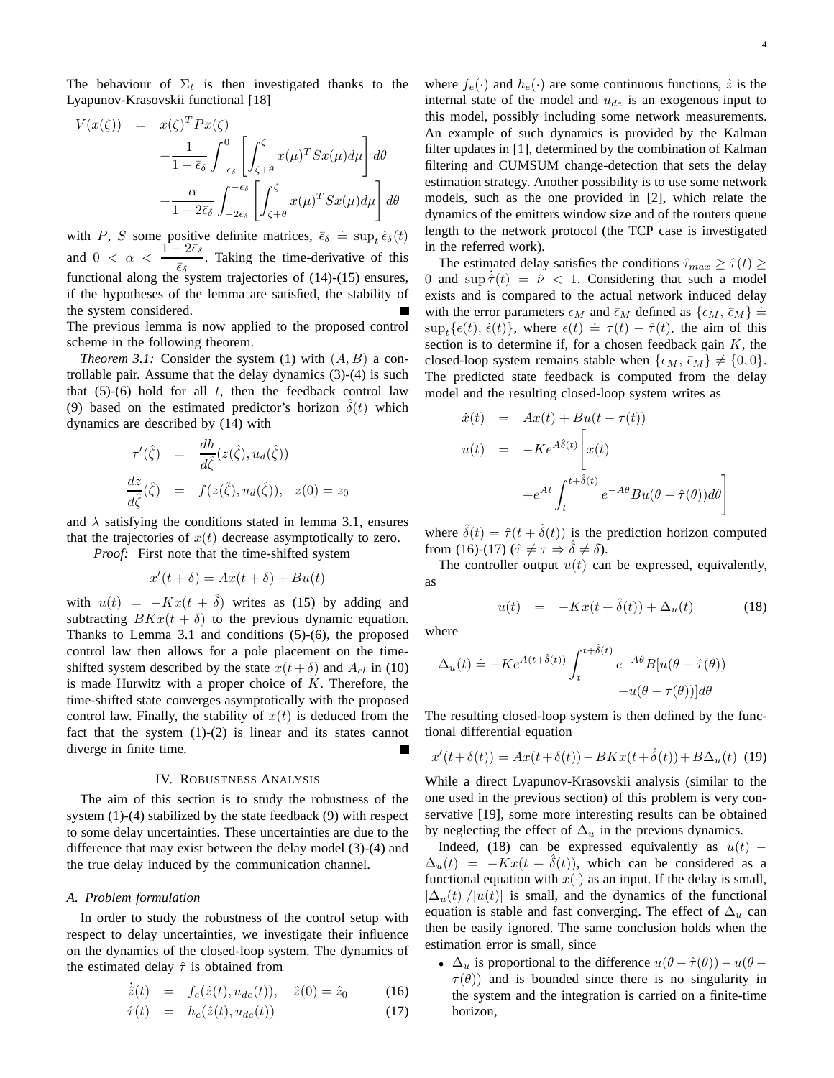The behaviour of  $\Sigma_t$  is then investigated thanks to the Lyapunov-Krasovskii functional [18]

$$
V(x(\zeta)) = x(\zeta)^T P x(\zeta)
$$
  
+ 
$$
\frac{1}{1 - \bar{\epsilon}_{\delta}} \int_{-\epsilon_{\delta}}^0 \left[ \int_{\zeta + \theta}^{\zeta} x(\mu)^T S x(\mu) d\mu \right] d\theta
$$
  
+ 
$$
\frac{\alpha}{1 - 2\bar{\epsilon}_{\delta}} \int_{-2\epsilon_{\delta}}^{-\epsilon_{\delta}} \left[ \int_{\zeta + \theta}^{\zeta} x(\mu)^T S x(\mu) d\mu \right] d\theta
$$

with P, S some positive definite matrices,  $\bar{\epsilon}_{\delta} \doteq \sup_{t} \dot{\epsilon}_{\delta}(t)$ and  $0 < \alpha < \frac{1 - 2\bar{\epsilon}_{\delta}}{2}$  $\frac{2c_{\theta}}{\bar{\epsilon}_{\delta}}$ . Taking the time-derivative of this functional along the system trajectories of (14)-(15) ensures, if the hypotheses of the lemma are satisfied, the stability of the system considered.

The previous lemma is now applied to the proposed control scheme in the following theorem.

*Theorem 3.1:* Consider the system (1) with  $(A, B)$  a controllable pair. Assume that the delay dynamics (3)-(4) is such that  $(5)-(6)$  hold for all t, then the feedback control law (9) based on the estimated predictor's horizon  $\delta(t)$  which dynamics are described by (14) with

$$
\tau'(\hat{\zeta}) = \frac{dh}{d\hat{\zeta}}(z(\hat{\zeta}), u_d(\hat{\zeta}))
$$
  

$$
\frac{dz}{d\hat{\zeta}}(\hat{\zeta}) = f(z(\hat{\zeta}), u_d(\hat{\zeta})), z(0) = z_0
$$

and  $\lambda$  satisfying the conditions stated in lemma 3.1, ensures that the trajectories of  $x(t)$  decrease asymptotically to zero.

*Proof:* First note that the time-shifted system

$$
x'(t + \delta) = Ax(t + \delta) + Bu(t)
$$

with  $u(t) = -Kx(t + \delta)$  writes as (15) by adding and subtracting  $B Kx(t + \delta)$  to the previous dynamic equation. Thanks to Lemma 3.1 and conditions (5)-(6), the proposed control law then allows for a pole placement on the timeshifted system described by the state  $x(t + \delta)$  and  $A_{cl}$  in (10) is made Hurwitz with a proper choice of  $K$ . Therefore, the time-shifted state converges asymptotically with the proposed control law. Finally, the stability of  $x(t)$  is deduced from the fact that the system  $(1)-(2)$  is linear and its states cannot diverge in finite time.

### IV. ROBUSTNESS ANALYSIS

The aim of this section is to study the robustness of the system (1)-(4) stabilized by the state feedback (9) with respect to some delay uncertainties. These uncertainties are due to the difference that may exist between the delay model (3)-(4) and the true delay induced by the communication channel.

## *A. Problem formulation*

In order to study the robustness of the control setup with respect to delay uncertainties, we investigate their influence on the dynamics of the closed-loop system. The dynamics of the estimated delay  $\hat{\tau}$  is obtained from

$$
\dot{\hat{z}}(t) = f_e(\hat{z}(t), u_{de}(t)), \quad \hat{z}(0) = \hat{z}_0 \tag{16}
$$

$$
\hat{\tau}(t) = h_e(\hat{z}(t), u_{de}(t)) \tag{17}
$$

where  $f_e(\cdot)$  and  $h_e(\cdot)$  are some continuous functions,  $\hat{z}$  is the internal state of the model and  $u_{de}$  is an exogenous input to this model, possibly including some network measurements. An example of such dynamics is provided by the Kalman filter updates in [1], determined by the combination of Kalman filtering and CUMSUM change-detection that sets the delay estimation strategy. Another possibility is to use some network models, such as the one provided in [2], which relate the dynamics of the emitters window size and of the routers queue length to the network protocol (the TCP case is investigated in the referred work).

The estimated delay satisfies the conditions  $\hat{\tau}_{max} \geq \hat{\tau}(t) \geq$ 0 and sup  $\hat{\tau}(t) = \hat{\nu} < 1$ . Considering that such a model exists and is compared to the actual network induced delay with the error parameters  $\epsilon_M$  and  $\bar{\epsilon}_M$  defined as  $\{\epsilon_M, \bar{\epsilon}_M\} \doteq$ sup $_{t}\left\{\epsilon(t), \epsilon(t)\right\}$ , where  $\epsilon(t) \doteq \tau(t) - \hat{\tau}(t)$ , the aim of this section is to determine if, for a chosen feedback gain  $K$ , the closed-loop system remains stable when  $\{\epsilon_M, \bar{\epsilon}_M\} \neq \{0, 0\}.$ The predicted state feedback is computed from the delay model and the resulting closed-loop system writes as

$$
\dot{x}(t) = Ax(t) + Bu(t - \tau(t))
$$
  
\n
$$
u(t) = -Ke^{A\hat{\delta}(t)} \left[ x(t) + e^{At} \int_t^{t + \hat{\delta}(t)} e^{-A\theta} Bu(\theta - \hat{\tau}(\theta)) d\theta \right]
$$

where  $\hat{\delta}(t) = \hat{\tau}(t + \hat{\delta}(t))$  is the prediction horizon computed from (16)-(17) ( $\hat{\tau} \neq \tau \Rightarrow \hat{\delta} \neq \delta$ ).

The controller output  $u(t)$  can be expressed, equivalently, as

$$
u(t) = -Kx(t + \hat{\delta}(t)) + \Delta_u(t) \tag{18}
$$

where

$$
\Delta_u(t) \doteq -Ke^{A(t+\hat{\delta}(t))} \int_t^{t+\hat{\delta}(t)} e^{-A\theta} B[u(\theta - \hat{\tau}(\theta)) - u(\theta - \tau(\theta))]d\theta
$$

The resulting closed-loop system is then defined by the functional differential equation

$$
x'(t+\delta(t)) = Ax(t+\delta(t)) - BKx(t+\hat{\delta}(t)) + B\Delta_u(t)
$$
 (19)

While a direct Lyapunov-Krasovskii analysis (similar to the one used in the previous section) of this problem is very conservative [19], some more interesting results can be obtained by neglecting the effect of  $\Delta_u$  in the previous dynamics.

Indeed, (18) can be expressed equivalently as  $u(t)$  –  $\Delta_u(t) = -Kx(t + \delta(t))$ , which can be considered as a functional equation with  $x(\cdot)$  as an input. If the delay is small,  $|\Delta_u(t)|/|u(t)|$  is small, and the dynamics of the functional equation is stable and fast converging. The effect of  $\Delta_u$  can then be easily ignored. The same conclusion holds when the estimation error is small, since

•  $\Delta_u$  is proportional to the difference  $u(\theta - \hat{\tau}(\theta)) - u(\theta - \hat{\tau}(\theta))$  $\tau(\theta)$ ) and is bounded since there is no singularity in the system and the integration is carried on a finite-time horizon,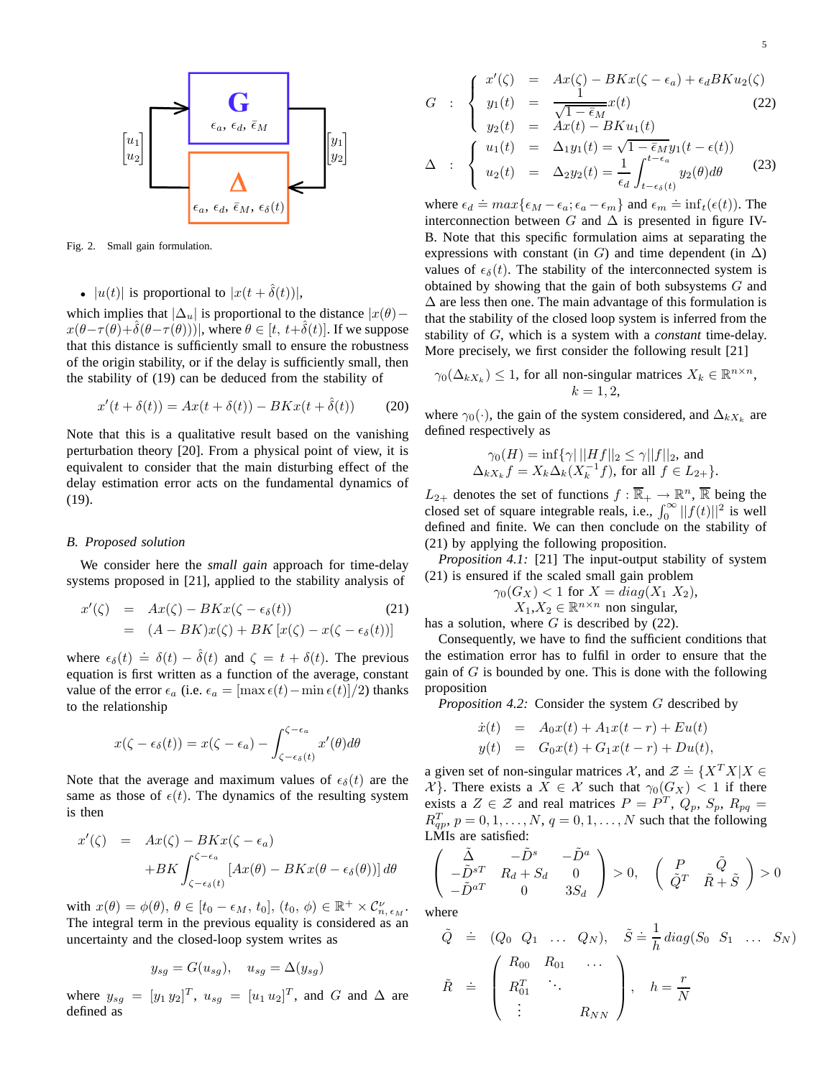

Fig. 2. Small gain formulation.

# •  $|u(t)|$  is proportional to  $|x(t + \hat{\delta}(t))|$ ,

which implies that  $|\Delta_u|$  is proportional to the distance  $|x(\theta)$  –  $x(\theta-\tau(\theta)+\delta(\theta-\tau(\theta)))$ , where  $\theta \in [t, t+\delta(t)]$ . If we suppose that this distance is sufficiently small to ensure the robustness of the origin stability, or if the delay is sufficiently small, then the stability of (19) can be deduced from the stability of

$$
x'(t + \delta(t)) = Ax(t + \delta(t)) - BKx(t + \hat{\delta}(t))
$$
 (20)

Note that this is a qualitative result based on the vanishing perturbation theory [20]. From a physical point of view, it is equivalent to consider that the main disturbing effect of the delay estimation error acts on the fundamental dynamics of (19).

### *B. Proposed solution*

We consider here the *small gain* approach for time-delay systems proposed in [21], applied to the stability analysis of

$$
x'(\zeta) = Ax(\zeta) - BKx(\zeta - \epsilon_{\delta}(t)) \tag{21}
$$
  
= 
$$
(A - BK)x(\zeta) + BK[x(\zeta) - x(\zeta - \epsilon_{\delta}(t))]
$$

where  $\epsilon_{\delta}(t) = \delta(t) - \hat{\delta}(t)$  and  $\zeta = t + \delta(t)$ . The previous equation is first written as a function of the average, constant value of the error  $\epsilon_a$  (i.e.  $\epsilon_a = [\max \epsilon(t) - \min \epsilon(t)]/2$ ) thanks to the relationship

$$
x(\zeta - \epsilon_{\delta}(t)) = x(\zeta - \epsilon_a) - \int_{\zeta - \epsilon_{\delta}(t)}^{\zeta - \epsilon_a} x'(\theta) d\theta
$$

Note that the average and maximum values of  $\epsilon_{\delta}(t)$  are the same as those of  $\epsilon(t)$ . The dynamics of the resulting system is then

$$
x'(\zeta) = Ax(\zeta) - BKx(\zeta - \epsilon_a)
$$
  
+BK 
$$
\int_{\zeta - \epsilon_{\delta}(t)}^{\zeta - \epsilon_a} [Ax(\theta) - BKx(\theta - \epsilon_{\delta}(\theta))] d\theta
$$

with  $x(\theta) = \phi(\theta), \theta \in [t_0 - \epsilon_M, t_0], (t_0, \phi) \in \mathbb{R}^+ \times C_{n, \epsilon_M}^{\nu}$ . The integral term in the previous equality is considered as an uncertainty and the closed-loop system writes as

$$
y_{sg} = G(u_{sg}), \quad u_{sg} = \Delta(y_{sg})
$$

where  $y_{sg} = [y_1 \, y_2]^T$ ,  $u_{sg} = [u_1 \, u_2]^T$ , and G and  $\Delta$  are defined as

$$
G : \begin{cases} x'(\zeta) = Ax(\zeta) - BKx(\zeta - \epsilon_a) + \epsilon_d BKu_2(\zeta) \\ y_1(t) = \frac{1}{\sqrt{1 - \overline{\epsilon}_M}} x(t) \end{cases}
$$
(22)  

$$
y_2(t) = Ax(t) - BKu_1(t)
$$
  

$$
\Delta : \begin{cases} u_1(t) = \Delta_1 y_1(t) = \sqrt{1 - \overline{\epsilon}_M} y_1(t - \epsilon(t)) \\ u_2(t) = \Delta_2 y_2(t) = \frac{1}{\epsilon_d} \int_{t - \epsilon_d(t)}^{t - \epsilon_d} y_2(\theta) d\theta \end{cases}
$$
(23)

where  $\epsilon_d = max{\epsilon_M - \epsilon_a; \epsilon_a - \epsilon_m}$  and  $\epsilon_m = inf_t(\epsilon(t))$ . The interconnection between G and  $\Delta$  is presented in figure IV-B. Note that this specific formulation aims at separating the expressions with constant (in G) and time dependent (in  $\Delta$ ) values of  $\epsilon_{\delta}(t)$ . The stability of the interconnected system is obtained by showing that the gain of both subsystems G and  $\Delta$  are less then one. The main advantage of this formulation is that the stability of the closed loop system is inferred from the stability of G, which is a system with a *constant* time-delay. More precisely, we first consider the following result [21]

$$
\gamma_0(\Delta_{kX_k}) \le 1
$$
, for all non-singular matrices  $X_k \in \mathbb{R}^{n \times n}$ ,  
 $k = 1, 2$ ,

where  $\gamma_0(\cdot)$ , the gain of the system considered, and  $\Delta_{kX_k}$  are defined respectively as

$$
\gamma_0(H) = \inf \{ \gamma | ||Hf||_2 \le \gamma ||f||_2, \text{ and} \Delta_{kX_k} f = X_k \Delta_k (X_k^{-1} f), \text{ for all } f \in L_{2+} \}.
$$

 $L_{2+}$  denotes the set of functions  $f : \overline{\mathbb{R}}_+ \to \mathbb{R}^n$ ,  $\overline{\mathbb{R}}$  being the closed set of square integrable reals, i.e.,  $\int_0^\infty ||f(t)||^2$  is well defined and finite. We can then conclude on the stability of (21) by applying the following proposition.

*Proposition 4.1:* [21] The input-output stability of system (21) is ensured if the scaled small gain problem

$$
\gamma_0(G_X) < 1 \text{ for } X = diag(X_1 \ X_2),
$$
\n
$$
X_1, X_2 \in \mathbb{R}^{n \times n} \text{ non singular,}
$$

has a solution, where  $G$  is described by (22).

Consequently, we have to find the sufficient conditions that the estimation error has to fulfil in order to ensure that the gain of  $G$  is bounded by one. This is done with the following proposition

*Proposition 4.2:* Consider the system G described by

$$
\dot{x}(t) = A_0 x(t) + A_1 x(t - r) + Eu(t) \n y(t) = G_0 x(t) + G_1 x(t - r) + Du(t),
$$

a given set of non-singular matrices  $\mathcal{X}$ , and  $\mathcal{Z} = \{X^T X | X \in$  $\{\mathcal{X}\}\$ . There exists a  $X \in \mathcal{X}$  such that  $\gamma_0(G_X) < 1$  if there exists a  $Z \in \mathcal{Z}$  and real matrices  $P = P^T$ ,  $Q_p$ ,  $S_p$ ,  $R_{pq} =$  $R_{qp}^T$ ,  $p = 0, 1, \ldots, N$ ,  $q = 0, 1, \ldots, N$  such that the following LMIs are satisfied:

$$
\begin{pmatrix}\n\tilde{\Delta} & -\tilde{D}^s & -\tilde{D}^a \\
-\tilde{D}^{sT} & R_d + S_d & 0 \\
-\tilde{D}^{aT} & 0 & 3S_d\n\end{pmatrix} > 0, \quad \begin{pmatrix}\nP & \tilde{Q} \\
\tilde{Q}^T & \tilde{R} + \tilde{S}\n\end{pmatrix} > 0
$$

where

$$
\tilde{Q} = (Q_0 \ Q_1 \ \dots \ Q_N), \quad \tilde{S} = \frac{1}{h} \operatorname{diag}(S_0 \ S_1 \ \dots \ S_N)
$$

$$
\tilde{R} = \begin{pmatrix} R_{00} & R_{01} & \dots \\ R_{01}^T & \ddots & \\ \vdots & \ddots & R_{NN} \end{pmatrix}, \quad h = \frac{r}{N}
$$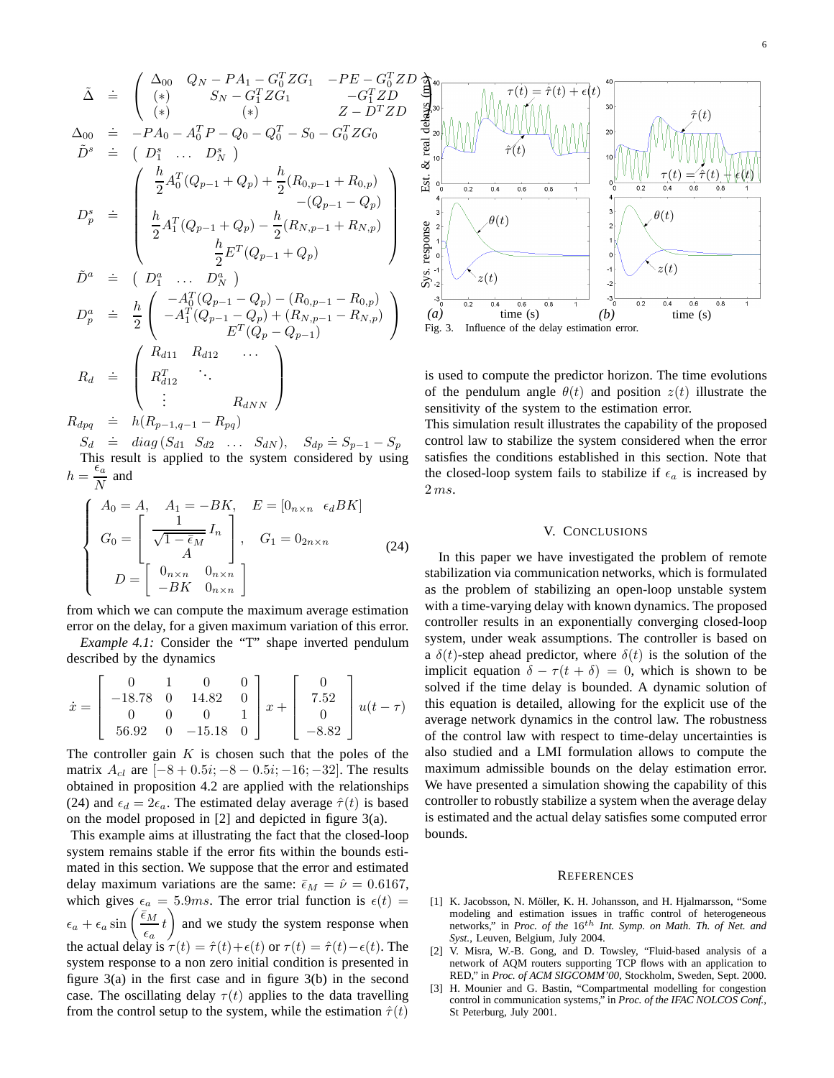$$
\tilde{\Delta} = \begin{pmatrix}\n\Delta_{00} & Q_N - PA_1 - G_0^T Z G_1 & -PE - G_0^T Z \\
(*) & S_N - G_1^T Z G_1 & -G_1^T Z D \\
(*) & (*) & Z - D^T Z D\n\end{pmatrix}
$$
\n
$$
\Delta_{00} = -PA_0 - A_0^T P - Q_0 - Q_0^T - S_0 - G_0^T Z G_0
$$
\n
$$
\tilde{D}^s = \begin{pmatrix}\nD_1^s & \dots & D_N^s\n\end{pmatrix}
$$
\n
$$
D_p^s = \begin{pmatrix}\n\frac{h}{2} A_0^T (Q_{p-1} + Q_p) + \frac{h}{2} (R_{0,p-1} + R_{0,p}) \\
\frac{h}{2} A_1^T (Q_{p-1} + Q_p) - \frac{h}{2} (R_{N,p-1} + R_{N,p}) \\
\frac{h}{2} E^T (Q_{p-1} + Q_p)\n\end{pmatrix}
$$
\n
$$
\tilde{D}^a = \begin{pmatrix}\nD_1^a & \dots & D_N^a\n\end{pmatrix}
$$
\n
$$
D_p^a = \frac{h}{2} \begin{pmatrix}\n-A_0^T (Q_{p-1} - Q_p) - (R_{0,p-1} - R_{0,p}) \\
-A_1^T (Q_{p-1} - Q_p) + (R_{N,p-1} - R_{N,p}) \\
E^T (Q_p - Q_{p-1})\n\end{pmatrix}
$$
\n
$$
R_d = \begin{pmatrix}\nR_{d11} & R_{d12} & \dots \\
R_{d12} & \ddots \\
\vdots & R_{dNN}\n\end{pmatrix}
$$
\n
$$
R_{dpq} = h(R_{p-1,q-1} - R_{pq})
$$

 $S_d$  = diag  $(S_{d1} \ S_{d2} \ \ldots \ S_{dN}), \ S_{dp} = S_{p-1} - S_p$ This result is applied to the system considered by using  $h = \frac{\epsilon_a}{\overline{N}}$  $\frac{c_a}{N}$  and

$$
\begin{cases}\nA_0 = A, & A_1 = -BK, & E = [0_{n \times n} \epsilon_d BK] \\
G_0 = \begin{bmatrix} \frac{1}{\sqrt{1 - \overline{\epsilon}_M}} I_n \\ A \end{bmatrix}, & G_1 = 0_{2n \times n} \\
D = \begin{bmatrix} 0_{n \times n} & 0_{n \times n} \\ -BK & 0_{n \times n} \end{bmatrix}\n\end{cases}
$$
\n(24)

from which we can compute the maximum average estimation error on the delay, for a given maximum variation of this error.

*Example 4.1:* Consider the "T" shape inverted pendulum described by the dynamics

$$
\dot{x} = \begin{bmatrix} 0 & 1 & 0 & 0 \\ -18.78 & 0 & 14.82 & 0 \\ 0 & 0 & 0 & 1 \\ 56.92 & 0 & -15.18 & 0 \end{bmatrix} x + \begin{bmatrix} 0 \\ 7.52 \\ 0 \\ -8.82 \end{bmatrix} u(t - \tau)
$$

The controller gain  $K$  is chosen such that the poles of the matrix  $A_{cl}$  are  $[-8 + 0.5i; -8 - 0.5i; -16; -32]$ . The results obtained in proposition 4.2 are applied with the relationships (24) and  $\epsilon_d = 2\epsilon_a$ . The estimated delay average  $\hat{\tau}(t)$  is based on the model proposed in [2] and depicted in figure 3(a).

This example aims at illustrating the fact that the closed-loop system remains stable if the error fits within the bounds estimated in this section. We suppose that the error and estimated delay maximum variations are the same:  $\bar{\epsilon}_M = \hat{\nu} = 0.6167$ , which gives  $\epsilon_a = 5.9 \text{ms}$ . The error trial function is  $\epsilon(t) =$  $\epsilon_a + \epsilon_a \sin \left( \frac{\bar{\epsilon}_M}{\bar{\epsilon}_M} \right)$  $\left(\frac{\bar{\varepsilon}_M}{\varepsilon_a}t\right)$  and we study the system response when the actual delay is  $\tau(t) = \hat{\tau}(t) + \epsilon(t)$  or  $\tau(t) = \hat{\tau}(t) - \epsilon(t)$ . The system response to a non zero initial condition is presented in figure 3(a) in the first case and in figure 3(b) in the second case. The oscillating delay  $\tau(t)$  applies to the data travelling from the control setup to the system, while the estimation  $\hat{\tau}(t)$ 



is used to compute the predictor horizon. The time evolutions of the pendulum angle  $\theta(t)$  and position  $z(t)$  illustrate the sensitivity of the system to the estimation error.

This simulation result illustrates the capability of the proposed control law to stabilize the system considered when the error satisfies the conditions established in this section. Note that the closed-loop system fails to stabilize if  $\epsilon_a$  is increased by 2 ms.

#### V. CONCLUSIONS

In this paper we have investigated the problem of remote stabilization via communication networks, which is formulated as the problem of stabilizing an open-loop unstable system with a time-varying delay with known dynamics. The proposed controller results in an exponentially converging closed-loop system, under weak assumptions. The controller is based on a  $\delta(t)$ -step ahead predictor, where  $\delta(t)$  is the solution of the implicit equation  $\delta - \tau(t + \delta) = 0$ , which is shown to be solved if the time delay is bounded. A dynamic solution of this equation is detailed, allowing for the explicit use of the average network dynamics in the control law. The robustness of the control law with respect to time-delay uncertainties is also studied and a LMI formulation allows to compute the maximum admissible bounds on the delay estimation error. We have presented a simulation showing the capability of this controller to robustly stabilize a system when the average delay is estimated and the actual delay satisfies some computed error bounds.

#### **REFERENCES**

- [1] K. Jacobsson, N. Möller, K. H. Johansson, and H. Hjalmarsson, "Some modeling and estimation issues in traffic control of heterogeneous networks," in *Proc. of the* 16<sup>th</sup> *Int. Symp. on Math. Th. of Net. and Syst.*, Leuven, Belgium, July 2004.
- [2] V. Misra, W.-B. Gong, and D. Towsley, "Fluid-based analysis of a network of AQM routers supporting TCP flows with an application to RED," in *Proc. of ACM SIGCOMM'00*, Stockholm, Sweden, Sept. 2000.
- [3] H. Mounier and G. Bastin, "Compartmental modelling for congestion control in communication systems," in *Proc. of the IFAC NOLCOS Conf.*, St Peterburg, July 2001.